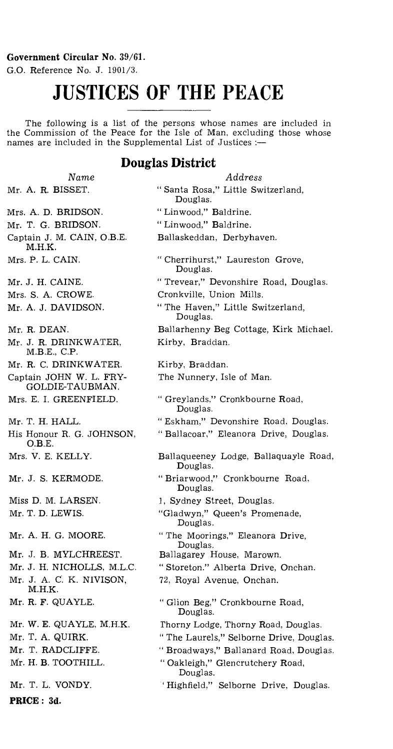#### Government Circular No. 39/61.

G.O. Reference No. J. 1901/3.

# **JUSTICES OF THE PEACE**

The following is a list of the persons whose names are included in the Commission of the Peace for the Isle of Man, excluding those whose names are included in the Supplemental List of Justices :—

## **Douglas District**

|  | Name              |
|--|-------------------|
|  | Mr. A. R. BISSET. |

- Mrs. A. D. BRIDSON.
- Mr. T. G. BRIDSON. Captain J. M. CAIN, O.B.E. M.H.K.
- Mrs. P. L. CAIN.
- Mr. J. H. CAINE.
- Mrs. S. A. CROWE.
- Mr. A. J. DAVIDSON.
- Mr. R. DEAN.
- Mr. J. R. DRINKWATER, M.B.E., C.P.
- Mr. R. C. DRINKWATER.
- Captain JOHN W. L. FRY-GOLDIE-TAUBMAN.
- Mrs. E. I. GREENFIELD.
- Mr. T. H. HALL.
- His Honour R. G. JOHNSON. O.B.E.

Mrs. V. E. KELLY.

Mr. J. S. KERMODE.

Miss D. M. LARSEN. Mr. T. D. LEWIS.

Mr. A. H. G. MOORE.

- Mr. J. B. MYLCHREEST.
- Mr. J. H. NICHOLLS, M.L.C. Mr. J. A. C. K. NIVISON, M.H.K.
- Mr. R. *F.* QUAYLE.
- Mr. W. E. QUAYLE, M.H.K. Mr. T. A. QUIRK. Mr. T. RADCLIFFE. Mr. H. B. TOOTHILL.

Mr. T. L. VONDY.

**PRICE : 3d.** 

- *Address*  " Santa Rosa," Little Switzerland, Douglas. " Linwood," Baldrine. " Linwood," Baldrine. Ballaskeddan, Derbyhaven. " Cherrihurst," Laureston Grove, Douglas. " Trevear," Devonshire Road, Douglas. Cronkville, Union Mills. " The Haven," Little Switzerland, Douglas. Ballarhenny Beg Cottage, Kirk Michael. Kirby, Braddan. Kirby, Braddan. The Nunnery, Isle of Man. " Greylands," Cronkbourne Road, Douglas. " Eskham," Devonshire Road, Douglas. " Ballacoar," Eleanora Drive, Douglas. Ballaqueeney Lodge, Ballaquayle Road, Douglas. " Briarwood," Cronkbourne Road, Douglas. 1, Sydney Street, Douglas. "Gladwyn," Queen's Promenade, Douglas. " The Moorings," Eleanora Drive, Douglas. Ballagarey House, Marown. " Storeton." Alberta Drive, Onchan. 72, Royal Avenue, Onchan. " Glion Beg," Cronkbourne Road, Douglas. Thorny Lodge, Thorny Road, Douglas. " The Laurels," Selborne Drive, Douglas. " Broadways," Ballanard Road, Douglas. " Oakleigh," Glencrutchery Road, Douglas.
	- 'Highfield," Selborne Drive, Douglas.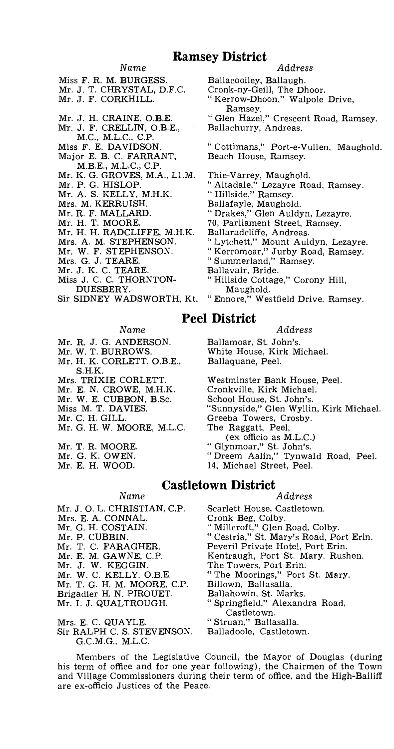## **Ramsey District**

#### *Name*

Miss F. R. M. BURGES

- Mr. J. T. CHRYSTAL, Mr. J. F. CORKHILL.
- 
- Mr. J. H. CRAINE, O.B.E. Mr. J. F. CRELLIN, O.B.E.,
- M.C., M.L.C., C.P.
- Miss F. E. DAVIDSON. Major E. B. C. FARRANT,
- M.B.E., M.L.C., C.P.
- Mr. K. G. GROVES, M.A., L1.M.
- Mr. P. G. HISLOP.
- Mr. A. S. KELLY, M.H.K.
- Mrs. M. KERRUISH.
- Mr. R. F. MALLARD.
- Mr. H. T. MOORE.
- Mr. H. H. RADCLIFFE, M.H.K.
- Mrs. A. M. STEPHENSON.
- Mr. W. F. STEPHENSON.
- Mrs. G. J. TEARE.
- Mr. J. K. C. TEARE.
- Miss J. C. C. THORNTON-
- DUESBERY.
- Sir SIDNEY WADSWORTH, Kt.

### *Address*

Ballacooiley, Ballaugh.

- Cronk-ny-Geill, The Dhoor.
- Kerrow-Dhoon," Walpole Drive, Ramsey.
- " Glen Hazel," Crescent Road, Ramsey. Ballachurry, Andreas.

" Cottimans," Port-e-Vullen, Maughold. Beach House, Ramsey.

- Thie-Varrey, Maughold. " Altadale," Lezayre Road, Ramsey.
- " Hillside," Ramsey.
- Ballafayle, Maughold.

" Drakes," Glen Auldyn, Lezayre.

- 70, Parliament Street, Ramsey.
- Ballaradcliffe, Andreas.

" Lytchett," Mount Auldyn, Lezayre.

- " Kerromoar," Jurby Road, Ramsey.
- " Summerland," Ramsey.
- Ballavair, Bride.
- " Hillside Cottage," Corony Hill, Maughold.
- " Ennore," Westfield Drive, Ramsey.

## **Peel District**

*Name* 

- Mr. R. J. G. ANDERSON.
- Mr. W. T. BURROWS.
- Mr. H. K. CORLETT, O.B.E., S.H.K.
- Mrs. TRIXIE CORLETT.
- Mr. E. N. CROWE, M.H.K.
- Mr. W. E. CUBBON, B.Sc.
- Miss M. T. DAVIES.
- Mr. C. H. GILL.
- Mr. G. H. W. MOORE, M.L.C.

Mr. T. R. MOORE.

- Mr. G. K. OWEN.
- Mr. E. H. WOOD.
	-
	-
- Mrs. E. A. CONNAL. Cronk Beg, Colby.
- 
- 
- 
- 
- 
- 
- Brigadier H. N. PIROUET. Ballahowin, St. Marks.
- 
- 
- Mrs. E. C. QUAYLE. "Struan," Ballasalla.<br>Sir RALPH C. S. STEVENSON, Balladoole, Castletown.  $\rm Sir$  RALPH C. S. STEVENSON, G.C.M.G., M.L.C.

Mr. J. O. L. CHRISTIAN, C.P. Scarlett House, Castletown.<br>Mrs. E. A. CONNAL. Cronk Beg, Colby. Mr. G. H. COSTAIN. "Willcroft," Glen Road, Colby. Mr. P. CUBBIN. " Cestria," St. Mary's Road, Port Erin.<br>Mr. T. C. FARAGHER. Peveril Private Hotel, Port Erin. Mr. T. C. FARAGHER. Peveril Private Hotel, Port Erin.<br>Mr. E. M. GAWNE, C.P. Kentraugh, Port St. Mary, Rusl Kentraugh, Port St. Mary, Rushen.<br>The Towers, Port Erin.<br>"The Moorings," Port St. Mary. Mr. J. W. KEGGIN. The Towers, Port Erin. Mr. W. C. KELLY, O.B.E. " The Moorings," Port St. Mary. Mr. T. G. H. M. MOORE, C.P. Billown, Ballasalla. Brigadier H. N. PIROUET. Ballahowin, St. Marks.<br>Mr. I. J. QUALTROUGH. "Springfield," Alexandra Road. Castletown.

Members of the Legislative Council, the Mayor of Douglas (during his term of office and for one year following), the Chairmen of the Town and Village Commissioners during their term of office, and the High-Bailiff are ex-officio Justices of the Peace.

- *Address*
- Ballamoar, St. John's. White House, Kirk Michael. Ballaquane, Peel.
- Westminster Bank House, Peel. Cronkville, Kirk Michael. School House, St. John's. "Sunnyside," Glen Wyllin, Kirk Michael. Greeba Towers, Crosby. The Raggatt, Peel, (ex officio as M.L.C.) " Glynmoar," St. John's. " Dreem Aalin," Tynwald Road, Peel. 14, Michael Street, Peel.
- **Castletown District**

*Name Address* 

- 
-